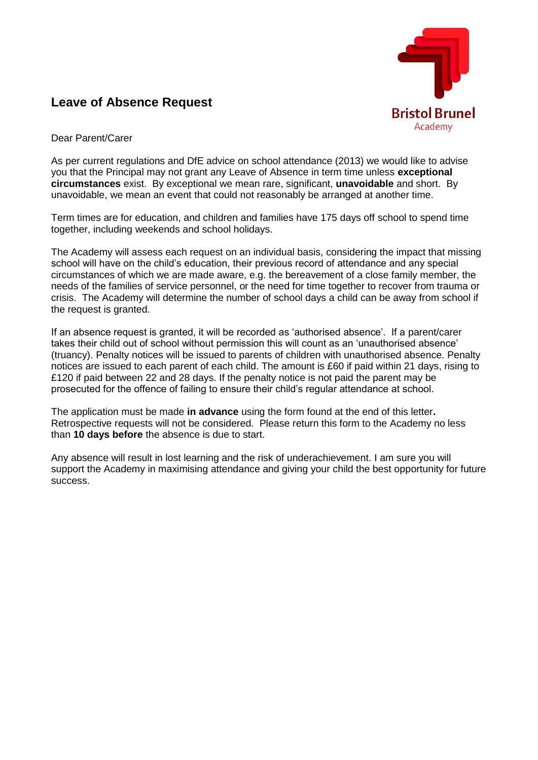

## **Leave of Absence Request**

Dear Parent/Carer

As per current regulations and DfE advice on school attendance (2013) we would like to advise you that the Principal may not grant any Leave of Absence in term time unless **exceptional circumstances** exist. By exceptional we mean rare, significant, **unavoidable** and short.By unavoidable, we mean an event that could not reasonably be arranged at another time.

Term times are for education, and children and families have 175 days off school to spend time together, including weekends and school holidays.

The Academy will assess each request on an individual basis, considering the impact that missing school will have on the child's education, their previous record of attendance and any special circumstances of which we are made aware, e.g. the bereavement of a close family member, the needs of the families of service personnel, or the need for time together to recover from trauma or crisis. The Academy will determine the number of school days a child can be away from school if the request is granted.

If an absence request is granted, it will be recorded as 'authorised absence'. If a parent/carer takes their child out of school without permission this will count as an 'unauthorised absence' (truancy). Penalty notices will be issued to parents of children with unauthorised absence. Penalty notices are issued to each parent of each child. The amount is £60 if paid within 21 days, rising to £120 if paid between 22 and 28 days. If the penalty notice is not paid the parent may be prosecuted for the offence of failing to ensure their child's regular attendance at school.

The application must be made **in advance** using the form found at the end of this letter**.**  Retrospective requests will not be considered. Please return this form to the Academy no less than **10 days before** the absence is due to start.

Any absence will result in lost learning and the risk of underachievement. I am sure you will support the Academy in maximising attendance and giving your child the best opportunity for future success.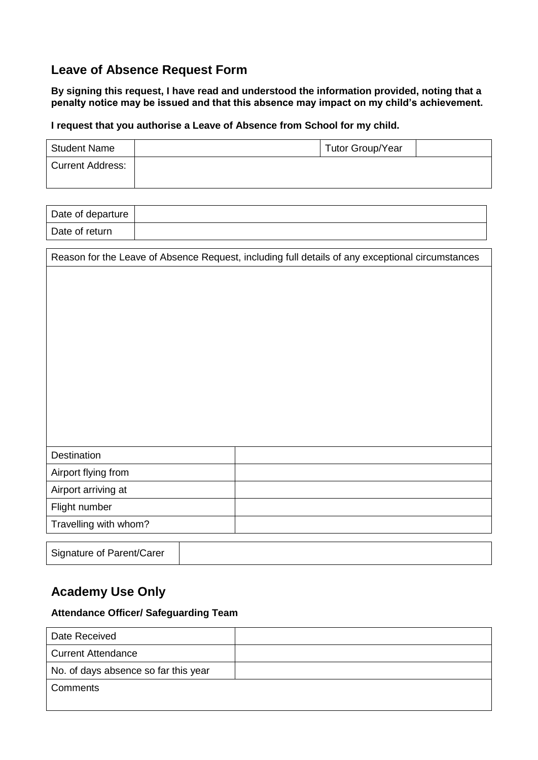## **Leave of Absence Request Form**

**By signing this request, I have read and understood the information provided, noting that a penalty notice may be issued and that this absence may impact on my child's achievement.**

### **I request that you authorise a Leave of Absence from School for my child.**

| <b>Student Name</b>     | <b>Tutor Group/Year</b> |  |
|-------------------------|-------------------------|--|
| <b>Current Address:</b> |                         |  |

| Date of departure |  |
|-------------------|--|
| Date of return    |  |

| Reason for the Leave of Absence Request, including full details of any exceptional circumstances |  |  |  |  |
|--------------------------------------------------------------------------------------------------|--|--|--|--|
|                                                                                                  |  |  |  |  |
|                                                                                                  |  |  |  |  |
|                                                                                                  |  |  |  |  |
|                                                                                                  |  |  |  |  |
|                                                                                                  |  |  |  |  |
|                                                                                                  |  |  |  |  |
|                                                                                                  |  |  |  |  |
|                                                                                                  |  |  |  |  |
|                                                                                                  |  |  |  |  |
|                                                                                                  |  |  |  |  |
|                                                                                                  |  |  |  |  |
| Destination                                                                                      |  |  |  |  |
| Airport flying from                                                                              |  |  |  |  |
| Airport arriving at                                                                              |  |  |  |  |
| Flight number                                                                                    |  |  |  |  |
| Travelling with whom?                                                                            |  |  |  |  |
|                                                                                                  |  |  |  |  |
| Signature of Parent/Carer                                                                        |  |  |  |  |

# **Academy Use Only**

#### **Attendance Officer/ Safeguarding Team**

| Date Received                        |  |
|--------------------------------------|--|
| <b>Current Attendance</b>            |  |
| No. of days absence so far this year |  |
| Comments                             |  |